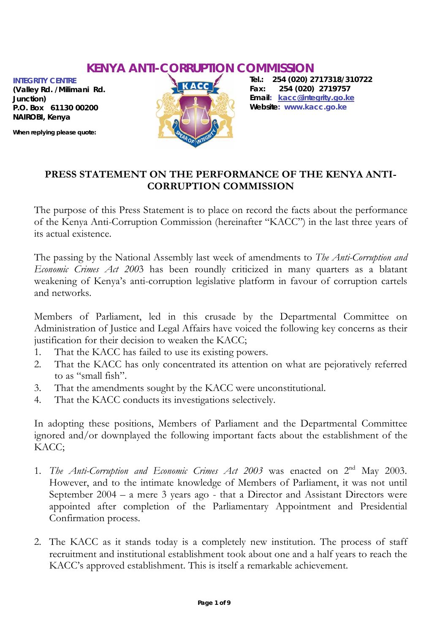# **KENYA ANTI-CORRUPTION COMMISSION**

*INTEGRITY CENTRE (Valley Rd. /Milimani Rd. Junction) P.O. Box 61130 00200 NAIROBI, Kenya* 

**When replying please quote:**



*Tel.: 254 (020) 2717318/310722 Fax: 254 (020) 2719757 Email:* **kacc@integrity.go.ke** *Website:* **www.kacc.go.ke** 

#### **PRESS STATEMENT ON THE PERFORMANCE OF THE KENYA ANTI-CORRUPTION COMMISSION**

The purpose of this Press Statement is to place on record the facts about the performance of the Kenya Anti-Corruption Commission (hereinafter "KACC") in the last three years of its actual existence.

The passing by the National Assembly last week of amendments to *The Anti-Corruption and Economic Crimes Act 200*3 has been roundly criticized in many quarters as a blatant weakening of Kenya's anti-corruption legislative platform in favour of corruption cartels and networks.

Members of Parliament, led in this crusade by the Departmental Committee on Administration of Justice and Legal Affairs have voiced the following key concerns as their justification for their decision to weaken the KACC;

- 1. That the KACC has failed to use its existing powers.
- 2. That the KACC has only concentrated its attention on what are pejoratively referred to as "small fish".
- 3. That the amendments sought by the KACC were unconstitutional.
- 4. That the KACC conducts its investigations selectively.

In adopting these positions, Members of Parliament and the Departmental Committee ignored and/or downplayed the following important facts about the establishment of the KACC;

- 1. *The Anti-Corruption and Economic Crimes Act 2003* was enacted on 2nd May 2003. However, and to the intimate knowledge of Members of Parliament, it was not until September 2004 – a mere 3 years ago - that a Director and Assistant Directors were appointed after completion of the Parliamentary Appointment and Presidential Confirmation process.
- 2. The KACC as it stands today is a completely new institution. The process of staff recruitment and institutional establishment took about one and a half years to reach the KACC's approved establishment. This is itself a remarkable achievement.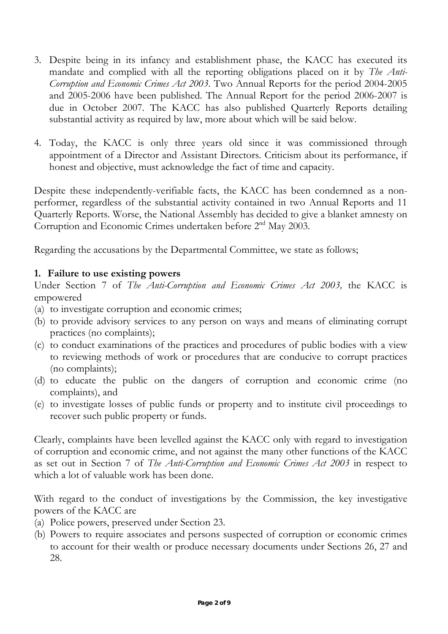- 3. Despite being in its infancy and establishment phase, the KACC has executed its mandate and complied with all the reporting obligations placed on it by *The Anti-Corruption and Economic Crimes Act 2003*. Two Annual Reports for the period 2004-2005 and 2005-2006 have been published. The Annual Report for the period 2006-2007 is due in October 2007. The KACC has also published Quarterly Reports detailing substantial activity as required by law, more about which will be said below.
- 4. Today, the KACC is only three years old since it was commissioned through appointment of a Director and Assistant Directors. Criticism about its performance, if honest and objective, must acknowledge the fact of time and capacity.

Despite these independently-verifiable facts, the KACC has been condemned as a nonperformer, regardless of the substantial activity contained in two Annual Reports and 11 Quarterly Reports. Worse, the National Assembly has decided to give a blanket amnesty on Corruption and Economic Crimes undertaken before 2nd May 2003.

Regarding the accusations by the Departmental Committee, we state as follows;

## **1. Failure to use existing powers**

Under Section 7 of *The Anti-Corruption and Economic Crimes Act 2003,* the KACC is empowered

- (a) to investigate corruption and economic crimes;
- (b) to provide advisory services to any person on ways and means of eliminating corrupt practices (no complaints);
- (c) to conduct examinations of the practices and procedures of public bodies with a view to reviewing methods of work or procedures that are conducive to corrupt practices (no complaints);
- (d) to educate the public on the dangers of corruption and economic crime (no complaints), and
- (e) to investigate losses of public funds or property and to institute civil proceedings to recover such public property or funds.

Clearly, complaints have been levelled against the KACC only with regard to investigation of corruption and economic crime, and not against the many other functions of the KACC as set out in Section 7 of *The Anti-Corruption and Economic Crimes Act 2003* in respect to which a lot of valuable work has been done.

With regard to the conduct of investigations by the Commission, the key investigative powers of the KACC are

- (a) Police powers, preserved under Section 23.
- (b) Powers to require associates and persons suspected of corruption or economic crimes to account for their wealth or produce necessary documents under Sections 26, 27 and 28.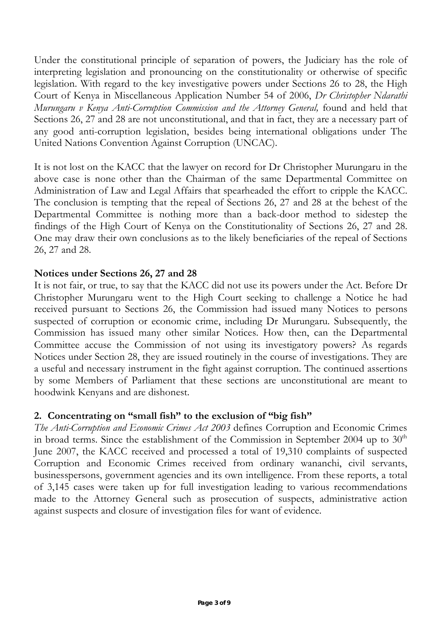Under the constitutional principle of separation of powers, the Judiciary has the role of interpreting legislation and pronouncing on the constitutionality or otherwise of specific legislation. With regard to the key investigative powers under Sections 26 to 28, the High Court of Kenya in Miscellaneous Application Number 54 of 2006, *Dr Christopher Ndarathi Murungaru v Kenya Anti-Corruption Commission and the Attorney General*, found and held that Sections 26, 27 and 28 are not unconstitutional, and that in fact, they are a necessary part of any good anti-corruption legislation, besides being international obligations under The United Nations Convention Against Corruption (UNCAC).

It is not lost on the KACC that the lawyer on record for Dr Christopher Murungaru in the above case is none other than the Chairman of the same Departmental Committee on Administration of Law and Legal Affairs that spearheaded the effort to cripple the KACC. The conclusion is tempting that the repeal of Sections 26, 27 and 28 at the behest of the Departmental Committee is nothing more than a back-door method to sidestep the findings of the High Court of Kenya on the Constitutionality of Sections 26, 27 and 28. One may draw their own conclusions as to the likely beneficiaries of the repeal of Sections 26, 27 and 28.

#### **Notices under Sections 26, 27 and 28**

It is not fair, or true, to say that the KACC did not use its powers under the Act. Before Dr Christopher Murungaru went to the High Court seeking to challenge a Notice he had received pursuant to Sections 26, the Commission had issued many Notices to persons suspected of corruption or economic crime, including Dr Murungaru. Subsequently, the Commission has issued many other similar Notices. How then, can the Departmental Committee accuse the Commission of not using its investigatory powers? As regards Notices under Section 28, they are issued routinely in the course of investigations. They are a useful and necessary instrument in the fight against corruption. The continued assertions by some Members of Parliament that these sections are unconstitutional are meant to hoodwink Kenyans and are dishonest.

## **2. Concentrating on "small fish" to the exclusion of "big fish"**

*The Anti-Corruption and Economic Crimes Act 2003* defines Corruption and Economic Crimes in broad terms. Since the establishment of the Commission in September 2004 up to  $30<sup>th</sup>$ June 2007, the KACC received and processed a total of 19,310 complaints of suspected Corruption and Economic Crimes received from ordinary wananchi, civil servants, businesspersons, government agencies and its own intelligence. From these reports, a total of 3,145 cases were taken up for full investigation leading to various recommendations made to the Attorney General such as prosecution of suspects, administrative action against suspects and closure of investigation files for want of evidence.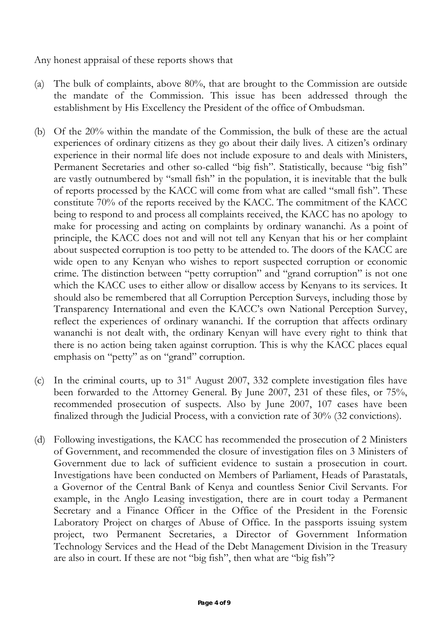Any honest appraisal of these reports shows that

- (a) The bulk of complaints, above 80%, that are brought to the Commission are outside the mandate of the Commission. This issue has been addressed through the establishment by His Excellency the President of the office of Ombudsman.
- (b) Of the 20% within the mandate of the Commission, the bulk of these are the actual experiences of ordinary citizens as they go about their daily lives. A citizen's ordinary experience in their normal life does not include exposure to and deals with Ministers, Permanent Secretaries and other so-called "big fish". Statistically, because "big fish" are vastly outnumbered by "small fish" in the population, it is inevitable that the bulk of reports processed by the KACC will come from what are called "small fish". These constitute 70% of the reports received by the KACC. The commitment of the KACC being to respond to and process all complaints received, the KACC has no apology to make for processing and acting on complaints by ordinary wananchi. As a point of principle, the KACC does not and will not tell any Kenyan that his or her complaint about suspected corruption is too petty to be attended to. The doors of the KACC are wide open to any Kenyan who wishes to report suspected corruption or economic crime. The distinction between "petty corruption" and "grand corruption" is not one which the KACC uses to either allow or disallow access by Kenyans to its services. It should also be remembered that all Corruption Perception Surveys, including those by Transparency International and even the KACC's own National Perception Survey, reflect the experiences of ordinary wananchi. If the corruption that affects ordinary wananchi is not dealt with, the ordinary Kenyan will have every right to think that there is no action being taken against corruption. This is why the KACC places equal emphasis on "petty" as on "grand" corruption.
- (c) In the criminal courts, up to  $31<sup>st</sup>$  August 2007, 332 complete investigation files have been forwarded to the Attorney General. By June 2007, 231 of these files, or 75%, recommended prosecution of suspects. Also by June 2007, 107 cases have been finalized through the Judicial Process, with a conviction rate of 30% (32 convictions).
- (d) Following investigations, the KACC has recommended the prosecution of 2 Ministers of Government, and recommended the closure of investigation files on 3 Ministers of Government due to lack of sufficient evidence to sustain a prosecution in court. Investigations have been conducted on Members of Parliament, Heads of Parastatals, a Governor of the Central Bank of Kenya and countless Senior Civil Servants. For example, in the Anglo Leasing investigation, there are in court today a Permanent Secretary and a Finance Officer in the Office of the President in the Forensic Laboratory Project on charges of Abuse of Office. In the passports issuing system project, two Permanent Secretaries, a Director of Government Information Technology Services and the Head of the Debt Management Division in the Treasury are also in court. If these are not "big fish", then what are "big fish"?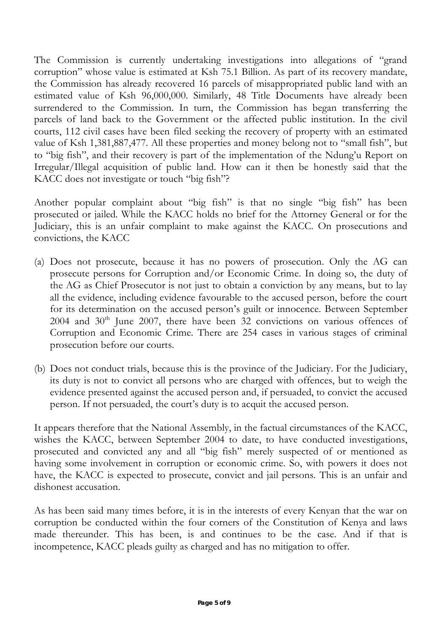The Commission is currently undertaking investigations into allegations of "grand corruption" whose value is estimated at Ksh 75.1 Billion. As part of its recovery mandate, the Commission has already recovered 16 parcels of misappropriated public land with an estimated value of Ksh 96,000,000. Similarly, 48 Title Documents have already been surrendered to the Commission. In turn, the Commission has began transferring the parcels of land back to the Government or the affected public institution. In the civil courts, 112 civil cases have been filed seeking the recovery of property with an estimated value of Ksh 1,381,887,477. All these properties and money belong not to "small fish", but to "big fish", and their recovery is part of the implementation of the Ndung'u Report on Irregular/Illegal acquisition of public land. How can it then be honestly said that the KACC does not investigate or touch "big fish"?

Another popular complaint about "big fish" is that no single "big fish" has been prosecuted or jailed. While the KACC holds no brief for the Attorney General or for the Judiciary, this is an unfair complaint to make against the KACC. On prosecutions and convictions, the KACC

- (a) Does not prosecute, because it has no powers of prosecution. Only the AG can prosecute persons for Corruption and/or Economic Crime. In doing so, the duty of the AG as Chief Prosecutor is not just to obtain a conviction by any means, but to lay all the evidence, including evidence favourable to the accused person, before the court for its determination on the accused person's guilt or innocence. Between September  $2004$  and  $30<sup>th</sup>$  June  $2007$ , there have been 32 convictions on various offences of Corruption and Economic Crime. There are 254 cases in various stages of criminal prosecution before our courts.
- (b) Does not conduct trials, because this is the province of the Judiciary. For the Judiciary, its duty is not to convict all persons who are charged with offences, but to weigh the evidence presented against the accused person and, if persuaded, to convict the accused person. If not persuaded, the court's duty is to acquit the accused person.

It appears therefore that the National Assembly, in the factual circumstances of the KACC, wishes the KACC, between September 2004 to date, to have conducted investigations, prosecuted and convicted any and all "big fish" merely suspected of or mentioned as having some involvement in corruption or economic crime. So, with powers it does not have, the KACC is expected to prosecute, convict and jail persons. This is an unfair and dishonest accusation.

As has been said many times before, it is in the interests of every Kenyan that the war on corruption be conducted within the four corners of the Constitution of Kenya and laws made thereunder. This has been, is and continues to be the case. And if that is incompetence, KACC pleads guilty as charged and has no mitigation to offer.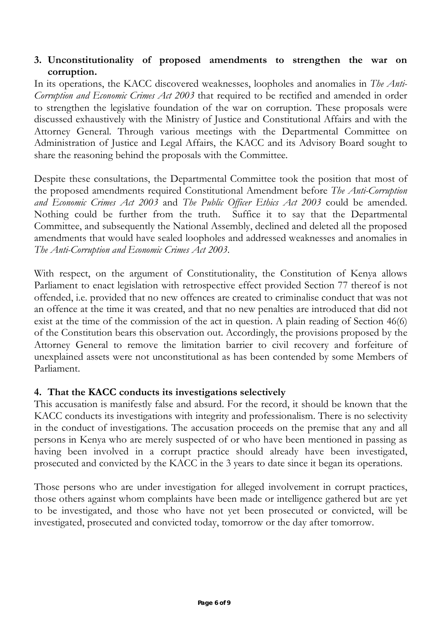#### **3. Unconstitutionality of proposed amendments to strengthen the war on corruption.**

In its operations, the KACC discovered weaknesses, loopholes and anomalies in *The Anti-Corruption and Economic Crimes Act 2003* that required to be rectified and amended in order to strengthen the legislative foundation of the war on corruption. These proposals were discussed exhaustively with the Ministry of Justice and Constitutional Affairs and with the Attorney General. Through various meetings with the Departmental Committee on Administration of Justice and Legal Affairs, the KACC and its Advisory Board sought to share the reasoning behind the proposals with the Committee.

Despite these consultations, the Departmental Committee took the position that most of the proposed amendments required Constitutional Amendment before *The Anti-Corruption and Economic Crimes Act 2003* and *The Public Officer Ethics Act 2003* could be amended. Nothing could be further from the truth. Suffice it to say that the Departmental Committee, and subsequently the National Assembly, declined and deleted all the proposed amendments that would have sealed loopholes and addressed weaknesses and anomalies in *The Anti-Corruption and Economic Crimes Act 2003*.

With respect, on the argument of Constitutionality, the Constitution of Kenya allows Parliament to enact legislation with retrospective effect provided Section 77 thereof is not offended, i.e. provided that no new offences are created to criminalise conduct that was not an offence at the time it was created, and that no new penalties are introduced that did not exist at the time of the commission of the act in question. A plain reading of Section 46(6) of the Constitution bears this observation out. Accordingly, the provisions proposed by the Attorney General to remove the limitation barrier to civil recovery and forfeiture of unexplained assets were not unconstitutional as has been contended by some Members of Parliament.

## **4. That the KACC conducts its investigations selectively**

This accusation is manifestly false and absurd. For the record, it should be known that the KACC conducts its investigations with integrity and professionalism. There is no selectivity in the conduct of investigations. The accusation proceeds on the premise that any and all persons in Kenya who are merely suspected of or who have been mentioned in passing as having been involved in a corrupt practice should already have been investigated, prosecuted and convicted by the KACC in the 3 years to date since it began its operations.

Those persons who are under investigation for alleged involvement in corrupt practices, those others against whom complaints have been made or intelligence gathered but are yet to be investigated, and those who have not yet been prosecuted or convicted, will be investigated, prosecuted and convicted today, tomorrow or the day after tomorrow.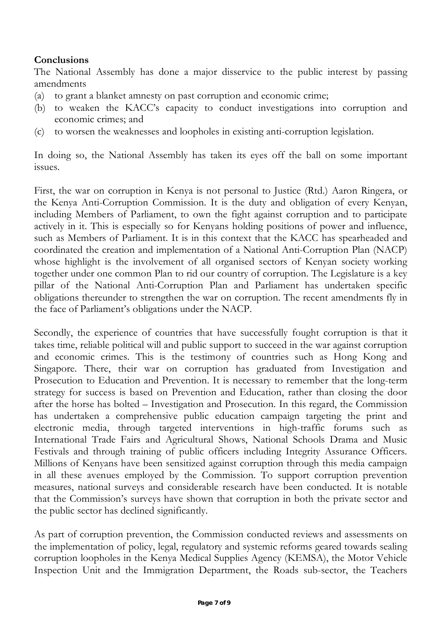## **Conclusions**

The National Assembly has done a major disservice to the public interest by passing amendments

- (a) to grant a blanket amnesty on past corruption and economic crime;
- (b) to weaken the KACC's capacity to conduct investigations into corruption and economic crimes; and
- (c) to worsen the weaknesses and loopholes in existing anti-corruption legislation.

In doing so, the National Assembly has taken its eyes off the ball on some important issues.

First, the war on corruption in Kenya is not personal to Justice (Rtd.) Aaron Ringera, or the Kenya Anti-Corruption Commission. It is the duty and obligation of every Kenyan, including Members of Parliament, to own the fight against corruption and to participate actively in it. This is especially so for Kenyans holding positions of power and influence, such as Members of Parliament. It is in this context that the KACC has spearheaded and coordinated the creation and implementation of a National Anti-Corruption Plan (NACP) whose highlight is the involvement of all organised sectors of Kenyan society working together under one common Plan to rid our country of corruption. The Legislature is a key pillar of the National Anti-Corruption Plan and Parliament has undertaken specific obligations thereunder to strengthen the war on corruption. The recent amendments fly in the face of Parliament's obligations under the NACP.

Secondly, the experience of countries that have successfully fought corruption is that it takes time, reliable political will and public support to succeed in the war against corruption and economic crimes. This is the testimony of countries such as Hong Kong and Singapore. There, their war on corruption has graduated from Investigation and Prosecution to Education and Prevention. It is necessary to remember that the long-term strategy for success is based on Prevention and Education, rather than closing the door after the horse has bolted – Investigation and Prosecution. In this regard, the Commission has undertaken a comprehensive public education campaign targeting the print and electronic media, through targeted interventions in high-traffic forums such as International Trade Fairs and Agricultural Shows, National Schools Drama and Music Festivals and through training of public officers including Integrity Assurance Officers. Millions of Kenyans have been sensitized against corruption through this media campaign in all these avenues employed by the Commission. To support corruption prevention measures, national surveys and considerable research have been conducted. It is notable that the Commission's surveys have shown that corruption in both the private sector and the public sector has declined significantly.

As part of corruption prevention, the Commission conducted reviews and assessments on the implementation of policy, legal, regulatory and systemic reforms geared towards sealing corruption loopholes in the Kenya Medical Supplies Agency (KEMSA), the Motor Vehicle Inspection Unit and the Immigration Department, the Roads sub-sector, the Teachers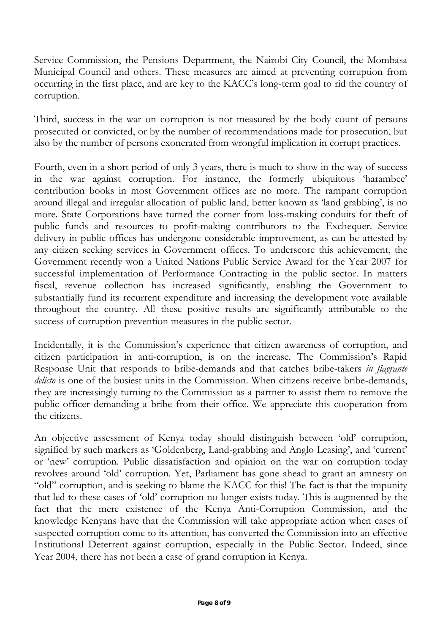Service Commission, the Pensions Department, the Nairobi City Council, the Mombasa Municipal Council and others. These measures are aimed at preventing corruption from occurring in the first place, and are key to the KACC's long-term goal to rid the country of corruption.

Third, success in the war on corruption is not measured by the body count of persons prosecuted or convicted, or by the number of recommendations made for prosecution, but also by the number of persons exonerated from wrongful implication in corrupt practices.

Fourth, even in a short period of only 3 years, there is much to show in the way of success in the war against corruption. For instance, the formerly ubiquitous 'harambee' contribution books in most Government offices are no more. The rampant corruption around illegal and irregular allocation of public land, better known as 'land grabbing', is no more. State Corporations have turned the corner from loss-making conduits for theft of public funds and resources to profit-making contributors to the Exchequer. Service delivery in public offices has undergone considerable improvement, as can be attested by any citizen seeking services in Government offices. To underscore this achievement, the Government recently won a United Nations Public Service Award for the Year 2007 for successful implementation of Performance Contracting in the public sector. In matters fiscal, revenue collection has increased significantly, enabling the Government to substantially fund its recurrent expenditure and increasing the development vote available throughout the country. All these positive results are significantly attributable to the success of corruption prevention measures in the public sector.

Incidentally, it is the Commission's experience that citizen awareness of corruption, and citizen participation in anti-corruption, is on the increase. The Commission's Rapid Response Unit that responds to bribe-demands and that catches bribe-takers *in flagrante*  delicto is one of the busiest units in the Commission. When citizens receive bribe-demands, they are increasingly turning to the Commission as a partner to assist them to remove the public officer demanding a bribe from their office. We appreciate this cooperation from the citizens.

An objective assessment of Kenya today should distinguish between 'old' corruption, signified by such markers as 'Goldenberg, Land-grabbing and Anglo Leasing', and 'current' or 'new' corruption. Public dissatisfaction and opinion on the war on corruption today revolves around 'old' corruption. Yet, Parliament has gone ahead to grant an amnesty on "old" corruption, and is seeking to blame the KACC for this! The fact is that the impunity that led to these cases of 'old' corruption no longer exists today. This is augmented by the fact that the mere existence of the Kenya Anti-Corruption Commission, and the knowledge Kenyans have that the Commission will take appropriate action when cases of suspected corruption come to its attention, has converted the Commission into an effective Institutional Deterrent against corruption, especially in the Public Sector. Indeed, since Year 2004, there has not been a case of grand corruption in Kenya.